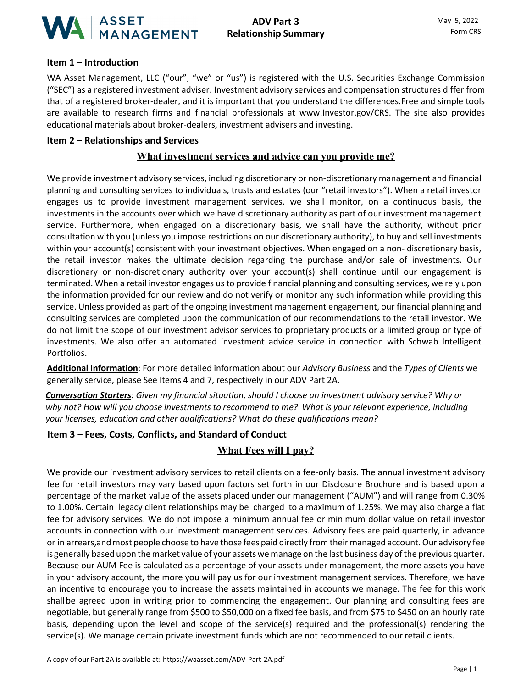

### **Item 1 – Introduction**

WA Asset Management, LLC ("our", "we" or "us") is registered with the U.S. Securities Exchange Commission ("SEC") as a registered investment adviser. Investment advisory services and compensation structures differ from that of a registered broker-dealer, and it is important that you understand the differences.Free and simple tools are available to research firms and financial professionals at [www.Investor.gov/CRS. T](http://www.investor.gov/CRS)he site also provides educational materials about broker-dealers, investment advisers and investing.

#### **Item 2 – Relationships and Services**

#### **What investment services and advice can you provide me?**

We provide investment advisory services, including discretionary or non-discretionary management and financial planning and consulting services to individuals, trusts and estates (our "retail investors"). When a retail investor engages us to provide investment management services, we shall monitor, on a continuous basis, the investments in the accounts over which we have discretionary authority as part of our investment management service. Furthermore, when engaged on a discretionary basis, we shall have the authority, without prior consultation with you (unless you impose restrictions on our discretionary authority), to buy and sell investments within your account(s) consistent with your investment objectives. When engaged on a non- discretionary basis, the retail investor makes the ultimate decision regarding the purchase and/or sale of investments. Our discretionary or non-discretionary authority over your account(s) shall continue until our engagement is terminated. When a retail investor engages us to provide financial planning and consulting services, we rely upon the information provided for our review and do not verify or monitor any such information while providing this service. Unless provided as part of the ongoing investment management engagement, our financial planning and consulting services are completed upon the communication of our recommendations to the retail investor. We do not limit the scope of our investment advisor services to proprietary products or a limited group or type of investments. We also offer an automated investment advice service in connection with Schwab Intelligent Portfolios.

**Additional Information**: For more detailed information about our *Advisory Business* and the *Types of Clients* we generally service, please See Items 4 and 7, respectively in our ADV Part 2A.

*Conversation Starters: Given my financial situation, should I choose an investment advisory service? Why or why not? How will you choose investments to recommend to me? What is your relevant experience, including your licenses, education and other qualifications? What do these qualifications mean?*

### **Item 3 – Fees, Costs, Conflicts, and Standard of Conduct**

### **What Fees will I pay?**

We provide our investment advisory services to retail clients on a fee-only basis. The annual investment advisory fee for retail investors may vary based upon factors set forth in our Disclosure Brochure and is based upon a percentage of the market value of the assets placed under our management ("AUM") and will range from 0.30% to 1.00%. Certain legacy client relationships may be charged to a maximum of 1.25%. We may also charge a flat fee for advisory services. We do not impose a minimum annual fee or minimum dollar value on retail investor accounts in connection with our investment management services. Advisory fees are paid quarterly, in advance or in arrears, and most people choose to have those fees paid directly from their managed account. Our advisory fee is generally based upon the market value of your assets we manage on the last business day of the previous quarter. Because our AUM Fee is calculated as a percentage of your assets under management, the more assets you have in your advisory account, the more you will pay us for our investment management services. Therefore, we have an incentive to encourage you to increase the assets maintained in accounts we manage. The fee for this work shallbe agreed upon in writing prior to commencing the engagement. Our planning and consulting fees are negotiable, but generally range from \$500 to \$50,000 on a fixed fee basis, and from \$75 to \$450 on an hourly rate basis, depending upon the level and scope of the service(s) required and the professional(s) rendering the service(s). We manage certain private investment funds which are not recommended to our retail clients.